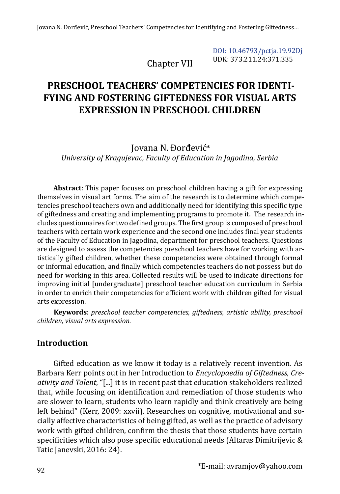Chapter VII

[DOI: 10.46793/pctja.19.92Dj](https://doi.org/10.46793/pctja.19.92Dj) UDK: 373.211.24:371.335

# **PRESCHOOL TEACHERS' COMPETENCIES FOR IDENTI-FYING AND FOSTERING GIFTEDNESS FOR VISUAL ARTS EXPRESSION IN PRESCHOOL CHILDREN**

Jovana N. Đorđević\* *University of Kragujevac, Faculty of Education in Jagodina, Serbia*

**Abstract**: This paper focuses on preschool children having a gift for expressing themselves in visual art forms. The aim of the research is to determine which competencies preschool teachers own and additionally need for identifying this specific type of giftedness and creating and implementing programs to promote it. The research includes questionnaires for two defined groups. The first group is composed of preschool teachers with certain work experience and the second one includes final year students of the Faculty of Education in Jagodina, department for preschool teachers. Questions are designed to assess the competencies preschool teachers have for working with artistically gifted children, whether these competencies were obtained through formal or informal education, and finally which competencies teachers do not possess but do need for working in this area. Collected results will be used to indicate directions for improving initial [undergraduate] preschool teacher education curriculum in Serbia in order to enrich their competencies for efficient work with children gifted for visual arts expression.

**Keywords**: *preschool teacher competencies, giftedness, artistic ability, preschool children, visual arts expression.*

## **Introduction**

Gifted education as we know it today is a relatively recent invention. As Barbara Kerr points out in her Introduction to *Encyclopaedia of Giftedness, Creativity and Talent*, "[...] it is in recent past that education stakeholders realized that, while focusing on identification and remediation of those students who are slower to learn, students who learn rapidly and think creatively are being left behind" (Kerr, 2009: xxvii). Researches on cognitive, motivational and socially affective characteristics of being gifted, as well as the practice of advisory work with gifted children, confirm the thesis that those students have certain specificities which also pose specific educational needs (Altaras Dimitrijevic & Tatic Janevski, 2016: 24).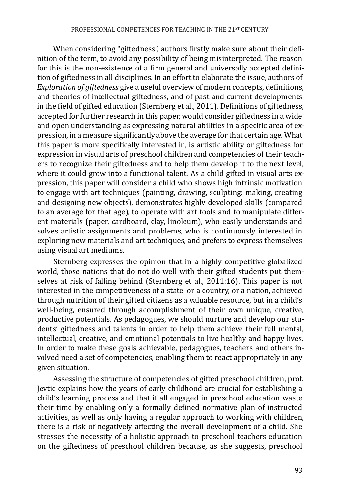When considering "giftedness", authors firstly make sure about their definition of the term, to avoid any possibility of being misinterpreted. The reason for this is the non-existence of a firm general and universally accepted definition of giftedness in all disciplines. In an effort to elaborate the issue, authors of *Exploration of giftedness* give a useful overview of modern concepts, definitions, and theories of intellectual giftedness, and of past and current developments in the field of gifted education (Sternberg et al., 2011). Definitions of giftedness, accepted for further research in this paper, would consider giftedness in a wide and open understanding as expressing natural abilities in a specific area of expression, in a measure significantly above the average for that certain age. What this paper is more specifically interested in, is artistic ability or giftedness for expression in visual arts of preschool children and competencies of their teachers to recognize their giftedness and to help them develop it to the next level, where it could grow into a functional talent. As a child gifted in visual arts expression, this paper will consider a child who shows high intrinsic motivation to engage with art techniques (painting, drawing, sculpting: making, creating and designing new objects), demonstrates highly developed skills (compared to an average for that age), to operate with art tools and to manipulate different materials (paper, cardboard, clay, linoleum), who easily understands and solves artistic assignments and problems, who is continuously interested in exploring new materials and art techniques, and prefers to express themselves using visual art mediums.

Sternberg expresses the opinion that in a highly competitive globalized world, those nations that do not do well with their gifted students put themselves at risk of falling behind (Sternberg et al., 2011:16). This paper is not interested in the competitiveness of a state, or a country, or a nation, achieved through nutrition of their gifted citizens as a valuable resource, but in a child's well-being, ensured through accomplishment of their own unique, creative, productive potentials. As pedagogues, we should nurture and develop our students' giftedness and talents in order to help them achieve their full mental, intellectual, creative, and emotional potentials to live healthy and happy lives. In order to make these goals achievable, pedagogues, teachers and others involved need a set of competencies, enabling them to react appropriately in any given situation.

Assessing the structure of competencies of gifted preschool children, prof. Jevtic explains how the years of early childhood are crucial for establishing a child's learning process and that if all engaged in preschool education waste their time by enabling only a formally defined normative plan of instructed activities, as well as only having a regular approach to working with children, there is a risk of negatively affecting the overall development of a child. She stresses the necessity of a holistic approach to preschool teachers education on the giftedness of preschool children because, as she suggests, preschool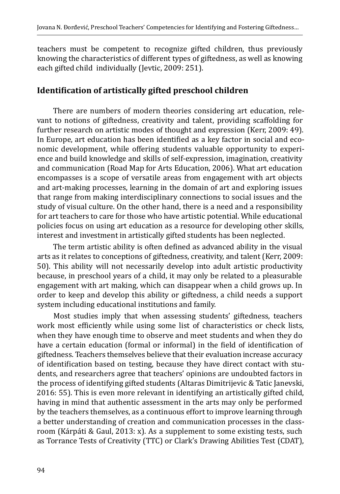teachers must be competent to recognize gifted children, thus previously knowing the characteristics of different types of giftedness, as well as knowing each gifted child individually (Jevtic, 2009: 251).

## **Identification of artistically gifted preschool children**

There are numbers of modern theories considering art education, relevant to notions of giftedness, creativity and talent, providing scaffolding for further research on artistic modes of thought and expression (Kerr, 2009: 49). In Europe, art education has been identified as a key factor in social and economic development, while offering students valuable opportunity to experience and build knowledge and skills of self-expression, imagination, creativity and communication (Road Map for Arts Education, 2006). What art education encompasses is a scope of versatile areas from engagement with art objects and art-making processes, learning in the domain of art and exploring issues that range from making interdisciplinary connections to social issues and the study of visual culture. On the other hand, there is a need and a responsibility for art teachers to care for those who have artistic potential. While educational policies focus on using art education as a resource for developing other skills, interest and investment in artistically gifted students has been neglected.

The term artistic ability is often defined as advanced ability in the visual arts as it relates to conceptions of giftedness, creativity, and talent (Kerr, 2009: 50). This ability will not necessarily develop into adult artistic productivity because, in preschool years of a child, it may only be related to a pleasurable engagement with art making, which can disappear when a child grows up. In order to keep and develop this ability or giftedness, a child needs a support system including educational institutions and family.

Most studies imply that when assessing students' giftedness, teachers work most efficiently while using some list of characteristics or check lists, when they have enough time to observe and meet students and when they do have a certain education (formal or informal) in the field of identification of giftedness. Teachers themselves believe that their evaluation increase accuracy of identification based on testing, because they have direct contact with students, and researchers agree that teachers' opinions are undoubted factors in the process of identifying gifted students (Altaras Dimitrijevic & Tatic Janevski, 2016: 55). This is even more relevant in identifying an artistically gifted child, having in mind that authentic assessment in the arts may only be performed by the teachers themselves, as a continuous effort to improve learning through a better understanding of creation and communication processes in the classroom (Kárpáti & Gaul, 2013: x). As a supplement to some existing tests, such as Torrance Tests of Creativity (TTC) or Clark's Drawing Abilities Test (CDAT),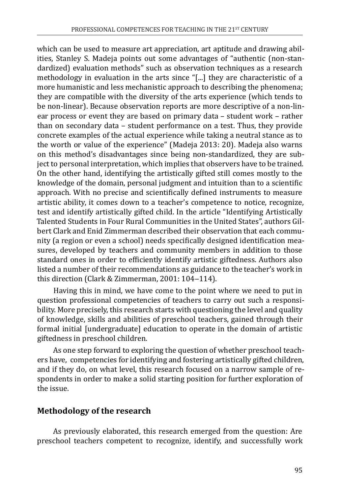which can be used to measure art appreciation, art aptitude and drawing abilities, Stanley S. Madeja points out some advantages of "authentic (non-standardized) evaluation methods" such as observation techniques as a research methodology in evaluation in the arts since "[...] they are characteristic of a more humanistic and less mechanistic approach to describing the phenomena; they are compatible with the diversity of the arts experience (which tends to be non-linear). Because observation reports are more descriptive of a non-linear process or event they are based on primary data – student work – rather than on secondary data – student performance on a test. Thus, they provide concrete examples of the actual experience while taking a neutral stance as to the worth or value of the experience" (Madeja 2013: 20). Madeja also warns on this method's disadvantages since being non-standardized, they are subject to personal interpretation, which implies that observers have to be trained. On the other hand, identifying the artistically gifted still comes mostly to the knowledge of the domain, personal judgment and intuition than to a scientific approach. With no precise and scientifically defined instruments to measure artistic ability, it comes down to a teacher's competence to notice, recognize, test and identify artistically gifted child. In the article "Identifying Artistically Talented Students in Four Rural Communities in the United States", authors Gilbert Clark and Enid Zimmerman described their observation that each community (a region or even a school) needs specifically designed identification measures, developed by teachers and community members in addition to those standard ones in order to efficiently identify artistic giftedness. Authors also listed a number of their recommendations as guidance to the teacher's work in this direction (Clark & Zimmerman, 2001: 104-114).

Having this in mind, we have come to the point where we need to put in question professional competencies of teachers to carry out such a responsibility. More precisely, this research starts with questioning the level and quality of knowledge, skills and abilities of preschool teachers, gained through their formal initial [undergraduate] education to operate in the domain of artistic giftedness in preschool children.

As one step forward to exploring the question of whether preschool teachers have, competencies for identifying and fostering artistically gifted children, and if they do, on what level, this research focused on a narrow sample of respondents in order to make a solid starting position for further exploration of the issue.

## **Methodology of the research**

As previously elaborated, this research emerged from the question: Are preschool teachers competent to recognize, identify, and successfully work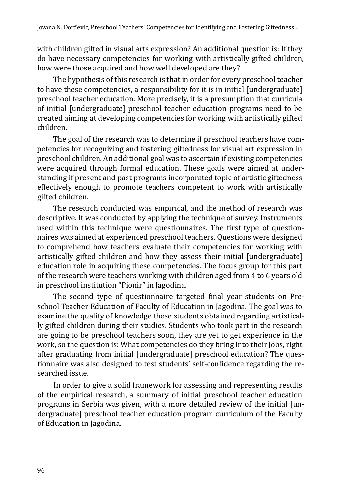with children gifted in visual arts expression? An additional question is: If they do have necessary competencies for working with artistically gifted children, how were those acquired and how well developed are they?

The hypothesis of this research is that in order for every preschool teacher to have these competencies, a responsibility for it is in initial [undergraduate] preschool teacher education. More precisely, it is a presumption that curricula of initial [undergraduate] preschool teacher education programs need to be created aiming at developing competencies for working with artistically gifted children.

The goal of the research was to determine if preschool teachers have competencies for recognizing and fostering giftedness for visual art expression in preschool children. An additional goal was to ascertain if existing competencies were acquired through formal education. These goals were aimed at understanding if present and past programs incorporated topic of artistic giftedness effectively enough to promote teachers competent to work with artistically gifted children.

The research conducted was empirical, and the method of research was descriptive. It was conducted by applying the technique of survey. Instruments used within this technique were questionnaires. The first type of questionnaires was aimed at experienced preschool teachers. Questions were designed to comprehend how teachers evaluate their competencies for working with artistically gifted children and how they assess their initial [undergraduate] education role in acquiring these competencies. The focus group for this part of the research were teachers working with children aged from 4 to 6 years old in preschool institution "Pionir" in Jagodina.

The second type of questionnaire targeted final year students on Preschool Teacher Education of Faculty of Education in Jagodina. The goal was to examine the quality of knowledge these students obtained regarding artistically gifted children during their studies. Students who took part in the research are going to be preschool teachers soon, they are yet to get experience in the work, so the question is: What competencies do they bring into their jobs, right after graduating from initial [undergraduate] preschool education? The questionnaire was also designed to test students' self-confidence regarding the researched issue.

In order to give a solid framework for assessing and representing results of the empirical research, a summary of initial preschool teacher education programs in Serbia was given, with a more detailed review of the initial [undergraduate] preschool teacher education program curriculum of the Faculty of Education in Jagodina.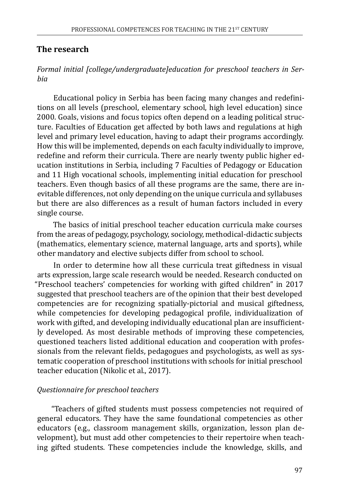#### **The research**

#### *Formal initial [college/undergraduate]education for preschool teachers in Serbia*

Educational policy in Serbia has been facing many changes and redefinitions on all levels (preschool, elementary school, high level education) since 2000. Goals, visions and focus topics often depend on a leading political structure. Faculties of Education get affected by both laws and regulations at high level and primary level education, having to adapt their programs accordingly. How this will be implemented, depends on each faculty individually to improve, redefine and reform their curricula. There are nearly twenty public higher education institutions in Serbia, including 7 Faculties of Pedagogy or Education and 11 High vocational schools, implementing initial education for preschool teachers. Even though basics of all these programs are the same, there are inevitable differences, not only depending on the unique curricula and syllabuses but there are also differences as a result of human factors included in every single course.

The basics of initial preschool teacher education curricula make courses from the areas of pedagogy, psychology, sociology, methodical-didactic subjects (mathematics, elementary science, maternal language, arts and sports), while other mandatory and elective subjects differ from school to school.

In order to determine how all these curricula treat giftedness in visual arts expression, large scale research would be needed. Research conducted on "Preschool teachers' competencies for working with gifted children" in 2017 suggested that preschool teachers are of the opinion that their best developed competencies are for recognizing spatially-pictorial and musical giftedness, while competencies for developing pedagogical profile, individualization of work with gifted, and developing individually educational plan are insufficiently developed. As most desirable methods of improving these competencies, questioned teachers listed additional education and cooperation with professionals from the relevant fields, pedagogues and psychologists, as well as systematic cooperation of preschool institutions with schools for initial preschool teacher education (Nikolic et al., 2017).

#### *Questionnaire for preschool teachers*

"Teachers of gifted students must possess competencies not required of general educators. They have the same foundational competencies as other educators (e.g., classroom management skills, organization, lesson plan development), but must add other competencies to their repertoire when teaching gifted students. These competencies include the knowledge, skills, and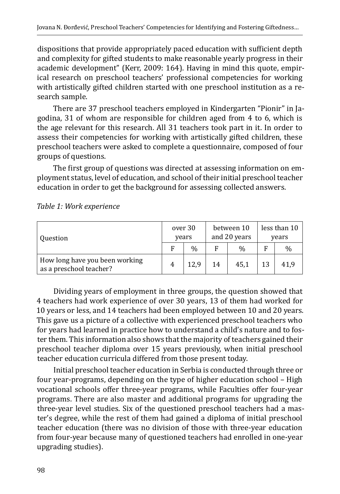dispositions that provide appropriately paced education with sufficient depth and complexity for gifted students to make reasonable yearly progress in their academic development" (Kerr, 2009: 164). Having in mind this quote, empirical research on preschool teachers' professional competencies for working with artistically gifted children started with one preschool institution as a research sample.

There are 37 preschool teachers employed in Kindergarten "Pionir" in Jagodina, 31 of whom are responsible for children aged from 4 to 6, which is the age relevant for this research. All 31 teachers took part in it. In order to assess their competencies for working with artistically gifted children, these preschool teachers were asked to complete a questionnaire, composed of four groups of questions.

The first group of questions was directed at assessing information on employment status, level of education, and school of their initial preschool teacher education in order to get the background for assessing collected answers.

| <b>Ouestion</b>                                           |   | over 30<br>years |    | between 10<br>and 20 years | less than 10<br>years |               |  |
|-----------------------------------------------------------|---|------------------|----|----------------------------|-----------------------|---------------|--|
|                                                           | F | $\frac{0}{0}$    |    | $\frac{0}{0}$              | F                     | $\frac{0}{0}$ |  |
| How long have you been working<br>as a preschool teacher? |   | 12.9             | 14 | 45.1                       |                       | 41.9          |  |

*Table 1: Work experience* 

Dividing years of employment in three groups, the question showed that 4 teachers had work experience of over 30 years, 13 of them had worked for 10 years or less, and 14 teachers had been employed between 10 and 20 years. This gave us a picture of a collective with experienced preschool teachers who for years had learned in practice how to understand a child's nature and to foster them. This information also shows that the majority of teachers gained their preschool teacher diploma over 15 years previously, when initial preschool teacher education curricula differed from those present today.

Initial preschool teacher education in Serbia is conducted through three or four year-programs, depending on the type of higher education school – High vocational schools offer three-year programs, while Faculties offer four-year programs. There are also master and additional programs for upgrading the three-year level studies. Six of the questioned preschool teachers had a master's degree, while the rest of them had gained a diploma of initial preschool teacher education (there was no division of those with three-year education from four-year because many of questioned teachers had enrolled in one-year upgrading studies).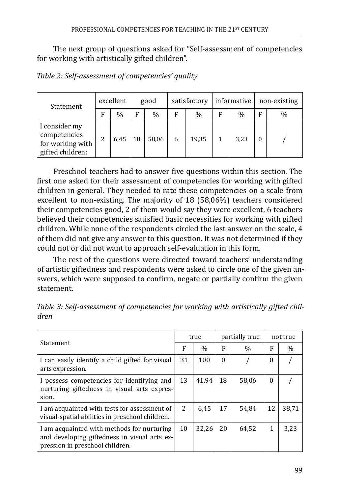The next group of questions asked for "Self-assessment of competencies for working with artistically gifted children".

|                                                                       | excellent<br>Statement |               |    | good  |   | satisfactory |   | informative   | non-existing |      |  |
|-----------------------------------------------------------------------|------------------------|---------------|----|-------|---|--------------|---|---------------|--------------|------|--|
|                                                                       | F                      | $\frac{0}{0}$ | F  | $\%$  | F | $\%$         | F | $\frac{0}{0}$ | E            | $\%$ |  |
| I consider my<br>competencies<br>for working with<br>gifted children: |                        | 6,45          | 18 | 58,06 | 6 | 19,35        |   | 3,23          |              |      |  |

*Table 2: Self-assessment of competencies' quality*

Preschool teachers had to answer five questions within this section. The first one asked for their assessment of competencies for working with gifted children in general. They needed to rate these competencies on a scale from excellent to non-existing. The majority of 18 (58,06%) teachers considered their competencies good, 2 of them would say they were excellent, 6 teachers believed their competencies satisfied basic necessities for working with gifted children. While none of the respondents circled the last answer on the scale, 4 of them did not give any answer to this question. It was not determined if they could not or did not want to approach self-evaluation in this form.

The rest of the questions were directed toward teachers' understanding of artistic giftedness and respondents were asked to circle one of the given answers, which were supposed to confirm, negate or partially confirm the given statement.

| <b>Statement</b>                                                                                                              |                | true  |          | partially true | not true |       |  |
|-------------------------------------------------------------------------------------------------------------------------------|----------------|-------|----------|----------------|----------|-------|--|
|                                                                                                                               |                | $\%$  | F        | $\%$           | F        | $\%$  |  |
| I can easily identify a child gifted for visual<br>arts expression.                                                           | 31             | 100   | $\theta$ |                | 0        |       |  |
| I possess competencies for identifying and<br>nurturing giftedness in visual arts expres-<br>sion.                            | 13             | 41.94 | 18       | 58.06          | $\theta$ |       |  |
| I am acquainted with tests for assessment of<br>visual-spatial abilities in preschool children.                               | $\overline{2}$ | 6.45  | 17       | 54.84          | 12       | 38,71 |  |
| I am acquainted with methods for nurturing<br>and developing giftedness in visual arts ex-<br>pression in preschool children. | 10             | 32.26 | 20       | 64,52          | 1        | 3.23  |  |

*Table 3: Self-assessment of competencies for working with artistically gifted children*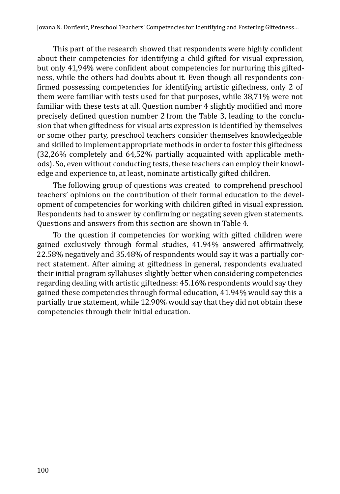This part of the research showed that respondents were highly confident about their competencies for identifying a child gifted for visual expression, but only 41,94% were confident about competencies for nurturing this giftedness, while the others had doubts about it. Even though all respondents confirmed possessing competencies for identifying artistic giftedness, only 2 of them were familiar with tests used for that purposes, while 38,71% were not familiar with these tests at all. Question number 4 slightly modified and more precisely defined question number 2 from the Table 3, leading to the conclusion that when giftedness for visual arts expression is identified by themselves or some other party, preschool teachers consider themselves knowledgeable and skilled to implement appropriate methods in order to foster this giftedness (32,26% completely and 64,52% partially acquainted with applicable methods). So, even without conducting tests, these teachers can employ their knowledge and experience to, at least, nominate artistically gifted children.

The following group of questions was created to comprehend preschool teachers' opinions on the contribution of their formal education to the development of competencies for working with children gifted in visual expression. Respondents had to answer by confirming or negating seven given statements. Questions and answers from this section are shown in Table 4.

To the question if competencies for working with gifted children were gained exclusively through formal studies, 41.94% answered affirmatively, 22.58% negatively and 35.48% of respondents would say it was a partially correct statement. After aiming at giftedness in general, respondents evaluated their initial program syllabuses slightly better when considering competencies regarding dealing with artistic giftedness: 45.16% respondents would say they gained these competencies through formal education, 41.94% would say this a partially true statement, while 12.90% would say that they did not obtain these competencies through their initial education.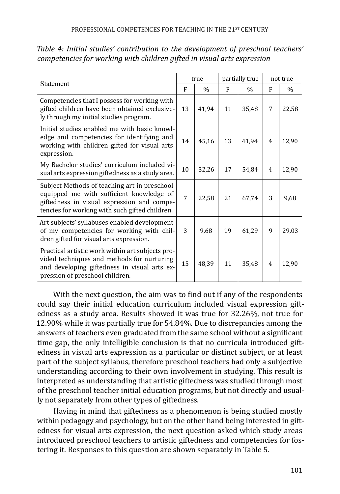| Statement                                                                                                                                                                                |    | true          |    | partially true | not true |       |
|------------------------------------------------------------------------------------------------------------------------------------------------------------------------------------------|----|---------------|----|----------------|----------|-------|
|                                                                                                                                                                                          |    | $\frac{0}{0}$ | F  | $\frac{0}{0}$  | F        | $\%$  |
| Competencies that I possess for working with<br>gifted children have been obtained exclusive-<br>ly through my initial studies program.                                                  | 13 | 41,94         | 11 | 35,48          | 7        | 22,58 |
| Initial studies enabled me with basic knowl-<br>edge and competencies for identifying and<br>working with children gifted for visual arts<br>expression.                                 | 14 | 45,16         | 13 | 41,94          | 4        | 12,90 |
| My Bachelor studies' curriculum included vi-<br>sual arts expression giftedness as a study area.                                                                                         | 10 | 32,26         | 17 | 54.84          | 4        | 12,90 |
| Subject Methods of teaching art in preschool<br>equipped me with sufficient knowledge of<br>giftedness in visual expression and compe-<br>tencies for working with such gifted children. | 7  | 22.58         | 21 | 67,74          | 3        | 9,68  |
| Art subjects' syllabuses enabled development<br>of my competencies for working with chil-<br>dren gifted for visual arts expression.                                                     | 3  | 9.68          | 19 | 61,29          | 9        | 29,03 |
| Practical artistic work within art subjects pro-<br>vided techniques and methods for nurturing<br>and developing giftedness in visual arts ex-<br>pression of preschool children.        | 15 | 48.39         | 11 | 35,48          | 4        | 12,90 |

*Table 4: Initial studies' contribution to the development of preschool teachers' competencies for working with children gifted in visual arts expression*

With the next question, the aim was to find out if any of the respondents could say their initial education curriculum included visual expression giftedness as a study area. Results showed it was true for 32.26%, not true for 12.90% while it was partially true for 54.84%. Due to discrepancies among the answers of teachers even graduated from the same school without a significant time gap, the only intelligible conclusion is that no curricula introduced giftedness in visual arts expression as a particular or distinct subject, or at least part of the subject syllabus, therefore preschool teachers had only a subjective understanding according to their own involvement in studying. This result is interpreted as understanding that artistic giftedness was studied through most of the preschool teacher initial education programs, but not directly and usually not separately from other types of giftedness.

Having in mind that giftedness as a phenomenon is being studied mostly within pedagogy and psychology, but on the other hand being interested in giftedness for visual arts expression, the next question asked which study areas introduced preschool teachers to artistic giftedness and competencies for fostering it. Responses to this question are shown separately in Table 5.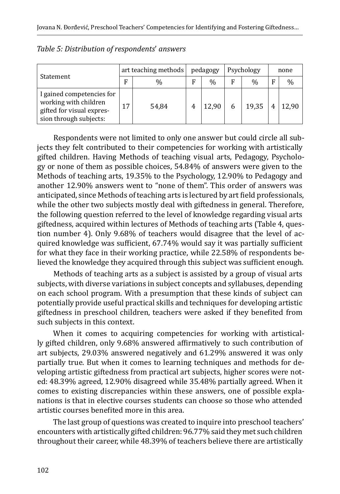|                                                                                                           |    | art teaching methods | pedagogy |       | Psychology    | none |       |  |
|-----------------------------------------------------------------------------------------------------------|----|----------------------|----------|-------|---------------|------|-------|--|
| <b>Statement</b>                                                                                          | F  | %                    | F        | %     | $\frac{0}{0}$ | F    | $\%$  |  |
| I gained competencies for<br>working with children<br>gifted for visual expres-<br>sion through subjects: | 17 | 54,84                |          | 12,90 | 19,35         |      | 12,90 |  |

| Table 5: Distribution of respondents' answers |  |
|-----------------------------------------------|--|
|-----------------------------------------------|--|

Respondents were not limited to only one answer but could circle all subjects they felt contributed to their competencies for working with artistically gifted children. Having Methods of teaching visual arts, Pedagogy, Psychology or none of them as possible choices, 54.84% of answers were given to the Methods of teaching arts, 19.35% to the Psychology, 12.90% to Pedagogy and another 12.90% answers went to "none of them". This order of answers was anticipated, since Methods of teaching arts is lectured by art field professionals, while the other two subjects mostly deal with giftedness in general. Therefore, the following question referred to the level of knowledge regarding visual arts giftedness, acquired within lectures of Methods of teaching arts (Table 4, question number 4). Only 9.68% of teachers would disagree that the level of acquired knowledge was sufficient, 67.74% would say it was partially sufficient for what they face in their working practice, while 22.58% of respondents believed the knowledge they acquired through this subject was sufficient enough.

Methods of teaching arts as a subject is assisted by a group of visual arts subjects, with diverse variations in subject concepts and syllabuses, depending on each school program. With a presumption that these kinds of subject can potentially provide useful practical skills and techniques for developing artistic giftedness in preschool children, teachers were asked if they benefited from such subjects in this context.

When it comes to acquiring competencies for working with artistically gifted children, only 9.68% answered affirmatively to such contribution of art subjects, 29.03% answered negatively and 61.29% answered it was only partially true. But when it comes to learning techniques and methods for developing artistic giftedness from practical art subjects, higher scores were noted: 48.39% agreed, 12.90% disagreed while 35.48% partially agreed. When it comes to existing discrepancies within these answers, one of possible explanations is that in elective courses students can choose so those who attended artistic courses benefited more in this area.

The last group of questions was created to inquire into preschool teachers' encounters with artistically gifted children: 96.77% said they met such children throughout their career, while 48.39% of teachers believe there are artistically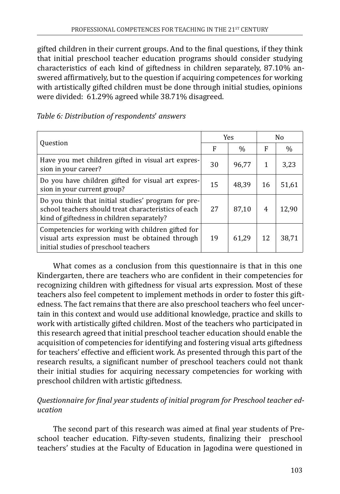gifted children in their current groups. And to the final questions, if they think that initial preschool teacher education programs should consider studying characteristics of each kind of giftedness in children separately, 87.10% answered affirmatively, but to the question if acquiring competences for working with artistically gifted children must be done through initial studies, opinions were divided: 61.29% agreed while 38.71% disagreed.

| Table 6: Distribution of respondents' answers |  |
|-----------------------------------------------|--|
|-----------------------------------------------|--|

| <b>Ouestion</b>                                                                                                                                           |    | <b>Yes</b> | N <sub>0</sub> |       |  |
|-----------------------------------------------------------------------------------------------------------------------------------------------------------|----|------------|----------------|-------|--|
|                                                                                                                                                           |    | $\%$       | F              | $\%$  |  |
| Have you met children gifted in visual art expres-<br>sion in your career?                                                                                | 30 | 96.77      | 1              | 3,23  |  |
| Do you have children gifted for visual art expres-<br>sion in your current group?                                                                         | 15 | 48.39      | 16             | 51,61 |  |
| Do you think that initial studies' program for pre-<br>school teachers should treat characteristics of each<br>kind of giftedness in children separately? | 27 | 87,10      | 4              | 12,90 |  |
| Competencies for working with children gifted for<br>visual arts expression must be obtained through<br>initial studies of preschool teachers             | 19 | 61.29      | 12             | 38,71 |  |

What comes as a conclusion from this questionnaire is that in this one Kindergarten, there are teachers who are confident in their competencies for recognizing children with giftedness for visual arts expression. Most of these teachers also feel competent to implement methods in order to foster this giftedness. The fact remains that there are also preschool teachers who feel uncertain in this context and would use additional knowledge, practice and skills to work with artistically gifted children. Most of the teachers who participated in this research agreed that initial preschool teacher education should enable the acquisition of competencies for identifying and fostering visual arts giftedness for teachers' effective and efficient work. As presented through this part of the research results, a significant number of preschool teachers could not thank their initial studies for acquiring necessary competencies for working with preschool children with artistic giftedness.

## *Questionnaire for final year students of initial program for Preschool teacher education*

The second part of this research was aimed at final year students of Preschool teacher education. Fifty-seven students, finalizing their preschool teachers' studies at the Faculty of Education in Jagodina were questioned in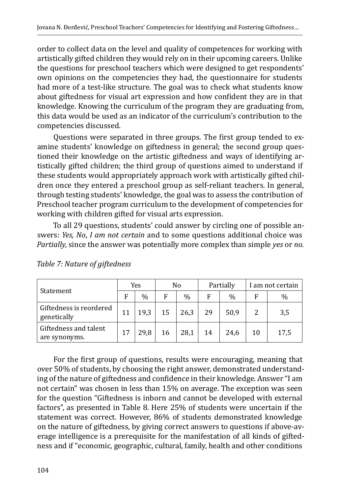order to collect data on the level and quality of competences for working with artistically gifted children they would rely on in their upcoming careers. Unlike the questions for preschool teachers which were designed to get respondents' own opinions on the competencies they had, the questionnaire for students had more of a test-like structure. The goal was to check what students know about giftedness for visual art expression and how confident they are in that knowledge. Knowing the curriculum of the program they are graduating from, this data would be used as an indicator of the curriculum's contribution to the competencies discussed.

Questions were separated in three groups. The first group tended to examine students' knowledge on giftedness in general; the second group questioned their knowledge on the artistic giftedness and ways of identifying artistically gifted children; the third group of questions aimed to understand if these students would appropriately approach work with artistically gifted children once they entered a preschool group as self-reliant teachers. In general, through testing students' knowledge, the goal was to assess the contribution of Preschool teacher program curriculum to the development of competencies for working with children gifted for visual arts expression.

To all 29 questions, students' could answer by circling one of possible answers: *Yes, No*, *I am not certain* and to some questions additional choice was *Partially,* since the answer was potentially more complex than simple *yes* or *no.*

|                                        | Yes |      | No |      |    | Partially     | I am not certain |      |  |
|----------------------------------------|-----|------|----|------|----|---------------|------------------|------|--|
| Statement                              | F   | $\%$ | F  | $\%$ | F  | $\frac{0}{0}$ | F                | $\%$ |  |
| Giftedness is reordered<br>genetically |     | 19,3 | 15 | 26,3 | 29 | 50,9          |                  | 3,5  |  |
| Giftedness and talent<br>are synonyms. | 17  | 29.8 | 16 | 28.1 | 14 | 24.6          | 10               | 17,5 |  |

*Table 7: Nature of giftedness*

For the first group of questions, results were encouraging, meaning that over 50% of students, by choosing the right answer, demonstrated understanding of the nature of giftedness and confidence in their knowledge. Answer "I am not certain" was chosen in less than 15% on average. The exception was seen for the question "Giftedness is inborn and cannot be developed with external factors", as presented in Table 8. Here 25% of students were uncertain if the statement was correct. However, 86% of students demonstrated knowledge on the nature of giftedness, by giving correct answers to questions if above-average intelligence is a prerequisite for the manifestation of all kinds of giftedness and if "economic, geographic, cultural, family, health and other conditions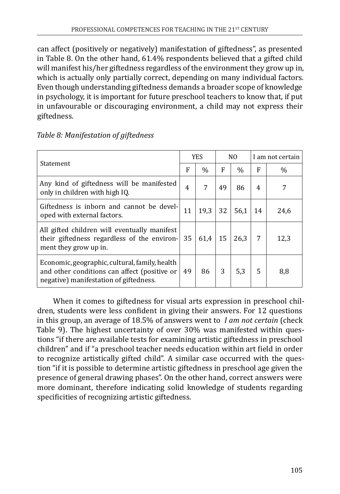can affect (positively or negatively) manifestation of giftedness", as presented in Table 8. On the other hand, 61.4% respondents believed that a gifted child will manifest his/her giftedness regardless of the environment they grow up in, which is actually only partially correct, depending on many individual factors. Even though understanding giftedness demands a broader scope of knowledge in psychology, it is important for future preschool teachers to know that, if put in unfavourable or discouraging environment, a child may not express their giftedness.

| Statement                                                                                                                                |    | <b>YES</b>    |    | N <sub>0</sub> | I am not certain |      |  |
|------------------------------------------------------------------------------------------------------------------------------------------|----|---------------|----|----------------|------------------|------|--|
|                                                                                                                                          |    | $\frac{0}{0}$ | F  | $\%$           | F                | $\%$ |  |
| Any kind of giftedness will be manifested<br>only in children with high IQ.                                                              | 4  | 7             | 49 | 86             | 4                | 7    |  |
| Giftedness is inborn and cannot be devel-<br>oped with external factors.                                                                 | 11 | 19.3          | 32 | 56,1           | 14               | 24,6 |  |
| All gifted children will eventually manifest<br>their giftedness regardless of the environ-<br>ment they grow up in.                     | 35 | 61.4          | 15 | 26.3           | 7                | 12,3 |  |
| Economic, geographic, cultural, family, health<br>and other conditions can affect (positive or<br>negative) manifestation of giftedness. | 49 | 86            | 3  | 5,3            | 5                | 8,8  |  |

## *Table 8: Manifestation of giftedness*

When it comes to giftedness for visual arts expression in preschool children, students were less confident in giving their answers. For 12 questions in this group, an average of 18.5% of answers went to *I am not certain* (check Table 9). The highest uncertainty of over 30% was manifested within questions "if there are available tests for examining artistic giftedness in preschool children" and if "a preschool teacher needs education within art field in order to recognize artistically gifted child". A similar case occurred with the question "if it is possible to determine artistic giftedness in preschool age given the presence of general drawing phases". On the other hand, correct answers were more dominant, therefore indicating solid knowledge of students regarding specificities of recognizing artistic giftedness.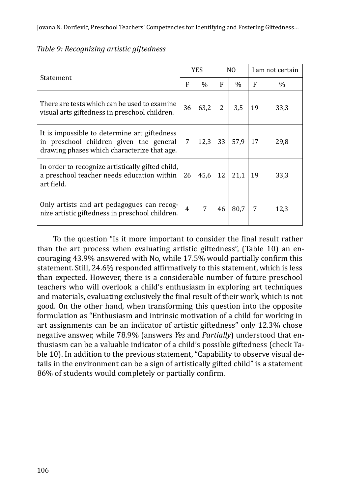| Statement                                                                                                                              |                | <b>YES</b>    |    | NO.           | I am not certain |      |  |
|----------------------------------------------------------------------------------------------------------------------------------------|----------------|---------------|----|---------------|------------------|------|--|
|                                                                                                                                        |                | $\frac{0}{0}$ | F  | $\frac{0}{0}$ | F                | %    |  |
| There are tests which can be used to examine<br>visual arts giftedness in preschool children.                                          | 36             | 63,2          | 2  | 3,5           | 19               | 33,3 |  |
| It is impossible to determine art giftedness<br>in preschool children given the general<br>drawing phases which characterize that age. | 7              | 12,3          | 33 | 57,9          | 17               | 29,8 |  |
| In order to recognize artistically gifted child,<br>a preschool teacher needs education within<br>art field.                           | 26             | 45,6          | 12 | 21,1          | 19               | 33,3 |  |
| Only artists and art pedagogues can recog-<br>nize artistic giftedness in preschool children.                                          | $\overline{4}$ | 7             | 46 | 80.7          | 7                | 12,3 |  |

To the question "Is it more important to consider the final result rather than the art process when evaluating artistic giftedness", (Table 10) an encouraging 43.9% answered with No, while 17.5% would partially confirm this statement. Still, 24.6% responded affirmatively to this statement, which is less than expected. However, there is a considerable number of future preschool teachers who will overlook a child's enthusiasm in exploring art techniques and materials, evaluating exclusively the final result of their work, which is not good. On the other hand, when transforming this question into the opposite formulation as "Enthusiasm and intrinsic motivation of a child for working in art assignments can be an indicator of artistic giftedness" only 12.3% chose negative answer, while 78.9% (answers *Yes* and *Partially*) understood that enthusiasm can be a valuable indicator of a child's possible giftedness (check Table 10). In addition to the previous statement, "Capability to observe visual details in the environment can be a sign of artistically gifted child" is a statement 86% of students would completely or partially confirm.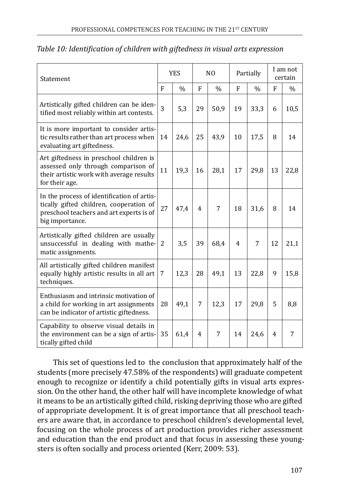| Statement                                                                                                                                            | <b>YES</b>     |               | N <sub>0</sub> |               | Partially   |               | I am not<br>certain |               |
|------------------------------------------------------------------------------------------------------------------------------------------------------|----------------|---------------|----------------|---------------|-------------|---------------|---------------------|---------------|
|                                                                                                                                                      | F              | $\frac{0}{0}$ | $\mathbf{F}$   | $\frac{0}{0}$ | $\mathbf F$ | $\frac{0}{0}$ | F                   | $\frac{0}{0}$ |
| Artistically gifted children can be iden-<br>tified most reliably within art contests.                                                               | $\overline{3}$ | 5,3           | 29             | 50,9          | 19          | 33,3          | 6                   | 10,5          |
| It is more important to consider artis-<br>tic results rather than art process when<br>evaluating art giftedness.                                    | 14             | 24,6          | 25             | 43,9          | 10          | 17,5          | 8                   | 14            |
| Art giftedness in preschool children is<br>assessed only through comparison of<br>their artistic work with average results<br>for their age.         | 11             | 19,3          | 16             | 28,1          | 17          | 29,8          | 13                  | 22,8          |
| In the process of identification of artis-<br>tically gifted children, cooperation of<br>preschool teachers and art experts is of<br>big importance. | 27             | 47,4          | 4              | 7             | 18          | 31,6          | 8                   | 14            |
| Artistically gifted children are usually<br>unsuccessful in dealing with mathe-<br>matic assignments.                                                | 2              | 3,5           | 39             | 68,4          | 4           | 7             | 12                  | 21,1          |
| All artistically gifted children manifest<br>equally highly artistic results in all art<br>techniques.                                               | 7              | 12,3          | 28             | 49,1          | 13          | 22,8          | 9                   | 15,8          |
| Enthusiasm and intrinsic motivation of<br>a child for working in art assignments<br>can be indicator of artistic giftedness.                         | 28             | 49,1          | 7              | 12,3          | 17          | 29,8          | 5                   | 8,8           |
| Capability to observe visual details in<br>the environment can be a sign of artis-<br>tically gifted child                                           | 35             | 61,4          | 4              | 7             | 14          | 24,6          | 4                   | 7             |

#### *Table 10: Identification of children with giftedness in visual arts expression*

This set of questions led to the conclusion that approximately half of the students (more precisely 47.58% of the respondents) will graduate competent enough to recognize or identify a child potentially gifts in visual arts expression. On the other hand, the other half will have incomplete knowledge of what it means to be an artistically gifted child, risking depriving those who are gifted of appropriate development. It is of great importance that all preschool teachers are aware that, in accordance to preschool children's developmental level, focusing on the whole process of art production provides richer assessment and education than the end product and that focus in assessing these youngsters is often socially and process oriented (Kerr, 2009: 53).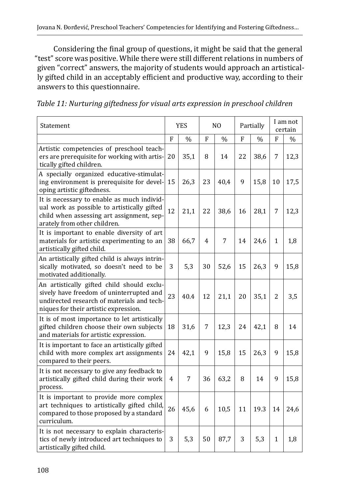Considering the final group of questions, it might be said that the general "test" score was positive. While there were still different relations in numbers of given "correct" answers, the majority of students would approach an artistically gifted child in an acceptably efficient and productive way, according to their answers to this questionnaire.

*Table 11: Nurturing giftedness for visual arts expression in preschool children*

| Statement                                                                                                                                                                     | <b>YES</b> |               | N <sub>O</sub> |               | Partially |               | I am not<br>certain |               |
|-------------------------------------------------------------------------------------------------------------------------------------------------------------------------------|------------|---------------|----------------|---------------|-----------|---------------|---------------------|---------------|
|                                                                                                                                                                               | F          | $\frac{0}{0}$ | F              | $\frac{0}{0}$ | F         | $\frac{0}{0}$ | F                   | $\frac{0}{0}$ |
| Artistic competencies of preschool teach-<br>ers are prerequisite for working with artis-<br>tically gifted children.                                                         | 20         | 35,1          | 8              | 14            | 22        | 38,6          | 7                   | 12,3          |
| A specially organized educative-stimulat-<br>ing environment is prerequisite for devel-<br>oping artistic giftedness.                                                         | 15         | 26,3          | 23             | 40,4          | 9         | 15,8          | 10                  | 17,5          |
| It is necessary to enable as much individ-<br>ual work as possible to artistically gifted<br>child when assessing art assignment, sep-<br>arately from other children.        | 12         | 21,1          | 22             | 38,6          | 16        | 28,1          | 7                   | 12,3          |
| It is important to enable diversity of art<br>materials for artistic experimenting to an<br>artistically gifted child.                                                        | 38         | 66,7          | 4              | 7             | 14        | 24,6          | 1                   | 1,8           |
| An artistically gifted child is always intrin-<br>sically motivated, so doesn't need to be<br>motivated additionally.                                                         | 3          | 5,3           | 30             | 52,6          | 15        | 26,3          | 9                   | 15,8          |
| An artistically gifted child should exclu-<br>sively have freedom of uninterrupted and<br>undirected research of materials and tech-<br>niques for their artistic expression. | 23         | 40.4          | 12             | 21,1          | 20        | 35,1          | $\overline{2}$      | 3,5           |
| It is of most importance to let artistically<br>gifted children choose their own subjects<br>and materials for artistic expression.                                           | 18         | 31,6          | 7              | 12,3          | 24        | 42,1          | 8                   | 14            |
| It is important to face an artistically gifted<br>child with more complex art assignments<br>compared to their peers.                                                         | 24         | 42,1          | 9              | 15,8          | 15        | 26,3          | 9                   | 15,8          |
| It is not necessary to give any feedback to<br>artistically gifted child during their work<br>process.                                                                        | 4          | 7             | 36             | 63,2          | 8         | 14            | 9                   | 15,8          |
| It is important to provide more complex<br>art techniques to artistically gifted child,<br>compared to those proposed by a standard<br>curriculum.                            | 26         | 45,6          | 6              | 10,5          | 11        | 19.3          | 14                  | 24,6          |
| It is not necessary to explain characteris-<br>tics of newly introduced art techniques to<br>artistically gifted child.                                                       | 3          | 5,3           | 50             | 87,7          | 3         | 5,3           | 1                   | 1,8           |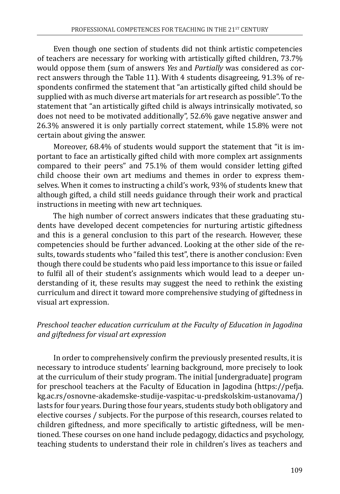Even though one section of students did not think artistic competencies of teachers are necessary for working with artistically gifted children, 73.7% would oppose them (sum of answers *Yes* and *Partially* was considered as correct answers through the Table 11). With 4 students disagreeing, 91.3% of respondents confirmed the statement that "an artistically gifted child should be supplied with as much diverse art materials for art research as possible". To the statement that "an artistically gifted child is always intrinsically motivated, so does not need to be motivated additionally", 52.6% gave negative answer and 26.3% answered it is only partially correct statement, while 15.8% were not certain about giving the answer.

Moreover, 68.4% of students would support the statement that "it is important to face an artistically gifted child with more complex art assignments compared to their peers" and 75.1% of them would consider letting gifted child choose their own art mediums and themes in order to express themselves. When it comes to instructing a child's work, 93% of students knew that although gifted, a child still needs guidance through their work and practical instructions in meeting with new art techniques.

The high number of correct answers indicates that these graduating students have developed decent competencies for nurturing artistic giftedness and this is a general conclusion to this part of the research. However, these competencies should be further advanced. Looking at the other side of the results, towards students who "failed this test", there is another conclusion: Even though there could be students who paid less importance to this issue or failed to fulfil all of their student's assignments which would lead to a deeper understanding of it, these results may suggest the need to rethink the existing curriculum and direct it toward more comprehensive studying of giftedness in visual art expression.

## *Preschool teacher education curriculum at the Faculty of Education in Jagodina and giftedness for visual art expression*

In order to comprehensively confirm the previously presented results, it is necessary to introduce students' learning background, more precisely to look at the curriculum of their study program. The initial [undergraduate] program for preschool teachers at the Faculty of Education in Jagodina ([https://pefja.](https://pefja.kg.ac.rs/osnovne-akademske-studije-vaspitac-u-predskolskim-ustanovama/) [kg.ac.rs/osnovne-akademske-studije-vaspitac-u-predskolskim-ustanovama/\)](https://pefja.kg.ac.rs/osnovne-akademske-studije-vaspitac-u-predskolskim-ustanovama/) lasts for four years. During those four years, students study both obligatory and elective courses / subjects. For the purpose of this research, courses related to children giftedness, and more specifically to artistic giftedness, will be mentioned. These courses on one hand include pedagogy, didactics and psychology, teaching students to understand their role in children's lives as teachers and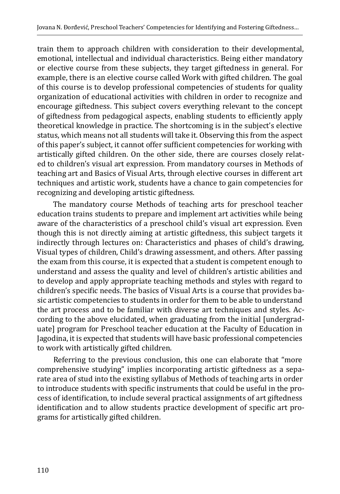train them to approach children with consideration to their developmental, emotional, intellectual and individual characteristics. Being either mandatory or elective course from these subjects, they target giftedness in general. For example, there is an elective course called Work with gifted children. The goal of this course is to develop professional competencies of students for quality organization of educational activities with children in order to recognize and encourage giftedness. This subject covers everything relevant to the concept of giftedness from pedagogical aspects, enabling students to efficiently apply theoretical knowledge in practice. The shortcoming is in the subject's elective status, which means not all students will take it. Observing this from the aspect of this paper's subject, it cannot offer sufficient competencies for working with artistically gifted children. On the other side, there are courses closely related to children's visual art expression. From mandatory courses in Methods of teaching art and Basics of Visual Arts, through elective courses in different art techniques and artistic work, students have a chance to gain competencies for recognizing and developing artistic giftedness.

The mandatory course Methods of teaching arts for preschool teacher education trains students to prepare and implement art activities while being aware of the characteristics of a preschool child's visual art expression. Even though this is not directly aiming at artistic giftedness, this subject targets it indirectly through lectures on: Characteristics and phases of child's drawing, Visual types of children, Child's drawing assessment, and others. After passing the exam from this course, it is expected that a student is competent enough to understand and assess the quality and level of children's artistic abilities and to develop and apply appropriate teaching methods and styles with regard to children's specific needs. The basics of Visual Arts is a course that provides basic artistic competencies to students in order for them to be able to understand the art process and to be familiar with diverse art techniques and styles. According to the above elucidated, when graduating from the initial [undergraduate] program for Preschool teacher education at the Faculty of Education in Jagodina, it is expected that students will have basic professional competencies to work with artistically gifted children.

Referring to the previous conclusion, this one can elaborate that "more comprehensive studying" implies incorporating artistic giftedness as a separate area of stud into the existing syllabus of Methods of teaching arts in order to introduce students with specific instruments that could be useful in the process of identification, to include several practical assignments of art giftedness identification and to allow students practice development of specific art programs for artistically gifted children.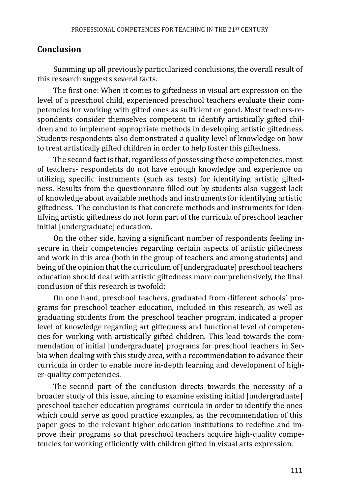## **Conclusion**

Summing up all previously particularized conclusions, the overall result of this research suggests several facts.

The first one: When it comes to giftedness in visual art expression on the level of a preschool child, experienced preschool teachers evaluate their competencies for working with gifted ones as sufficient or good. Most teachers-respondents consider themselves competent to identify artistically gifted children and to implement appropriate methods in developing artistic giftedness. Students-respondents also demonstrated a quality level of knowledge on how to treat artistically gifted children in order to help foster this giftedness.

The second fact is that, regardless of possessing these competencies, most of teachers- respondents do not have enough knowledge and experience on utilizing specific instruments (such as tests) for identifying artistic giftedness. Results from the questionnaire filled out by students also suggest lack of knowledge about available methods and instruments for identifying artistic giftedness. The conclusion is that concrete methods and instruments for identifying artistic giftedness do not form part of the curricula of preschool teacher initial [undergraduate] education.

On the other side, having a significant number of respondents feeling insecure in their competencies regarding certain aspects of artistic giftedness and work in this area (both in the group of teachers and among students) and being of the opinion that the curriculum of [undergraduate] preschool teachers education should deal with artistic giftedness more comprehensively, the final conclusion of this research is twofold:

On one hand, preschool teachers, graduated from different schools' programs for preschool teacher education, included in this research, as well as graduating students from the preschool teacher program, indicated a proper level of knowledge regarding art giftedness and functional level of competencies for working with artistically gifted children. This lead towards the commendation of initial [undergraduate] programs for preschool teachers in Serbia when dealing with this study area, with a recommendation to advance their curricula in order to enable more in-depth learning and development of higher-quality competencies.

The second part of the conclusion directs towards the necessity of a broader study of this issue, aiming to examine existing initial [undergraduate] preschool teacher education programs' curricula in order to identify the ones which could serve as good practice examples, as the recommendation of this paper goes to the relevant higher education institutions to redefine and improve their programs so that preschool teachers acquire high-quality competencies for working efficiently with children gifted in visual arts expression.